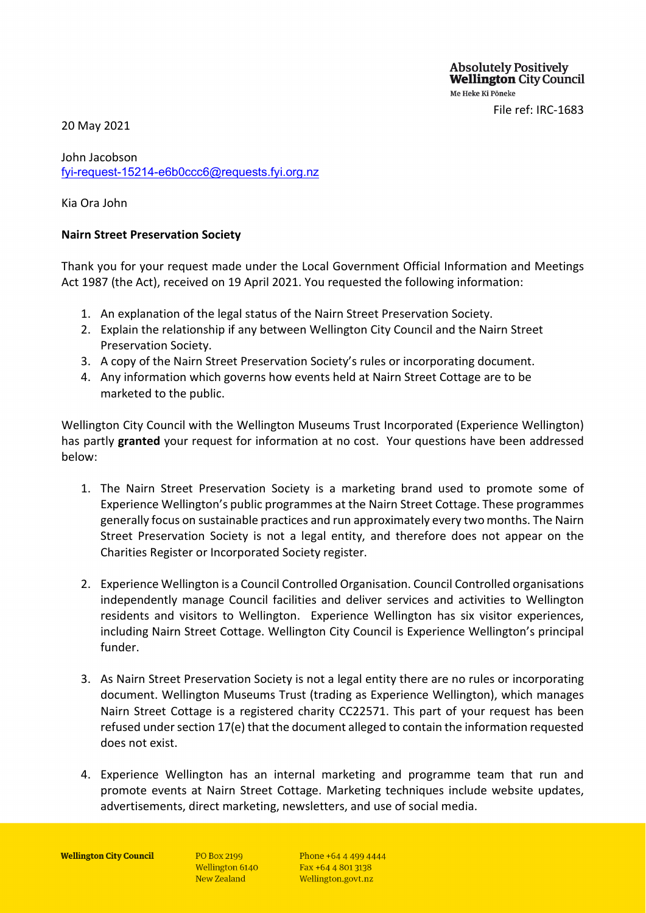**Absolutely Positively Wellington City Council** Me Heke Ki Pōneke

File ref: IRC-1683

20 May 2021

John Jacobson [fyi-request-15214-e6b0ccc6@requests.fyi.org.nz](mailto:xxxxxxxxxxxxxxxxxxxxxxxxxx@xxxxxxxx.xxx.xxx.xx)

Kia Ora John

## **Nairn Street Preservation Society**

Thank you for your request made under the Local Government Official Information and Meetings Act 1987 (the Act), received on 19 April 2021. You requested the following information:

- 1. An explanation of the legal status of the Nairn Street Preservation Society.
- 2. Explain the relationship if any between Wellington City Council and the Nairn Street Preservation Society.
- 3. A copy of the Nairn Street Preservation Society's rules or incorporating document.
- 4. Any information which governs how events held at Nairn Street Cottage are to be marketed to the public.

Wellington City Council with the Wellington Museums Trust Incorporated (Experience Wellington) has partly **granted** your request for information at no cost. Your questions have been addressed below:

- 1. The Nairn Street Preservation Society is a marketing brand used to promote some of Experience Wellington's public programmes at the Nairn Street Cottage. These programmes generally focus on sustainable practices and run approximately every two months. The Nairn Street Preservation Society is not a legal entity, and therefore does not appear on the Charities Register or Incorporated Society register.
- 2. Experience Wellington is a Council Controlled Organisation. Council Controlled organisations independently manage Council facilities and deliver services and activities to Wellington residents and visitors to Wellington. Experience Wellington has six visitor experiences, including Nairn Street Cottage. Wellington City Council is Experience Wellington's principal funder.
- 3. As Nairn Street Preservation Society is not a legal entity there are no rules or incorporating document. Wellington Museums Trust (trading as Experience Wellington), which manages Nairn Street Cottage is a registered charity CC22571. This part of your request has been refused under section 17(e) that the document alleged to contain the information requested does not exist.
- 4. Experience Wellington has an internal marketing and programme team that run and promote events at Nairn Street Cottage. Marketing techniques include website updates, advertisements, direct marketing, newsletters, and use of social media.

**PO Box 2199** Wellington 6140 New Zealand

Phone +64 4 499 4444 Fax +64 4 801 3138 Wellington.govt.nz